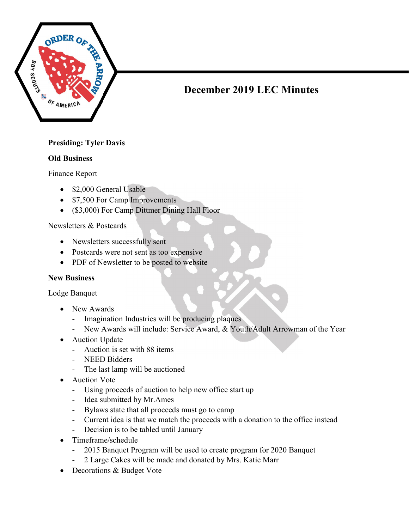

# December 2019 LEC Minutes

# Presiding: Tyler Davis

#### Old Business

Finance Report

- \$2,000 General Usable
- \$7,500 For Camp Improvements
- (\$3,000) For Camp Dittmer Dining Hall Floor

#### Newsletters & Postcards

- Newsletters successfully sent
- Postcards were not sent as too expensive
- PDF of Newsletter to be posted to website

#### New Business

Lodge Banquet

- New Awards
	- Imagination Industries will be producing plaques
	- New Awards will include: Service Award, & Youth/Adult Arrowman of the Year
- Auction Update
	- Auction is set with 88 items
	- NEED Bidders
	- The last lamp will be auctioned
- Auction Vote
	- Using proceeds of auction to help new office start up
	- Idea submitted by Mr.Ames
	- Bylaws state that all proceeds must go to camp
	- Current idea is that we match the proceeds with a donation to the office instead
	- Decision is to be tabled until January
- Timeframe/schedule
	- 2015 Banquet Program will be used to create program for 2020 Banquet
	- 2 Large Cakes will be made and donated by Mrs. Katie Marr
- Decorations & Budget Vote